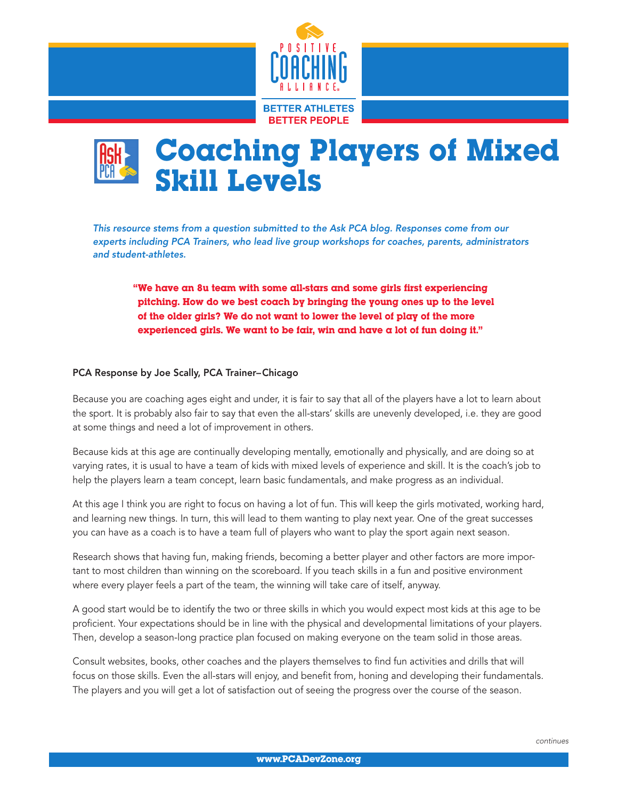



*This resource stems from a question submitted to the Ask PCA blog. Responses come from our experts including PCA Trainers, who lead live group workshops for coaches, parents, administrators and student-athletes.*

"We have an 8u team with some all-stars and some girls first experiencing pitching. How do we best coach by bringing the young ones up to the level of the older girls? We do not want to lower the level of play of the more experienced girls. We want to be fair, win and have a lot of fun doing it."

## PCA Response by Joe Scally, PCA Trainer–Chicago

Because you are coaching ages eight and under, it is fair to say that all of the players have a lot to learn about the sport. It is probably also fair to say that even the all-stars' skills are unevenly developed, i.e. they are good at some things and need a lot of improvement in others.

Because kids at this age are continually developing mentally, emotionally and physically, and are doing so at varying rates, it is usual to have a team of kids with mixed levels of experience and skill. It is the coach's job to help the players learn a team concept, learn basic fundamentals, and make progress as an individual.

At this age I think you are right to focus on having a lot of fun. This will keep the girls motivated, working hard, and learning new things. In turn, this will lead to them wanting to play next year. One of the great successes you can have as a coach is to have a team full of players who want to play the sport again next season.

Research shows that having fun, making friends, becoming a better player and other factors are more important to most children than winning on the scoreboard. If you teach skills in a fun and positive environment where every player feels a part of the team, the winning will take care of itself, anyway.

A good start would be to identify the two or three skills in which you would expect most kids at this age to be proficient. Your expectations should be in line with the physical and developmental limitations of your players. Then, develop a season-long practice plan focused on making everyone on the team solid in those areas.

Consult websites, books, other coaches and the players themselves to find fun activities and drills that will focus on those skills. Even the all-stars will enjoy, and benefit from, honing and developing their fundamentals. The players and you will get a lot of satisfaction out of seeing the progress over the course of the season.